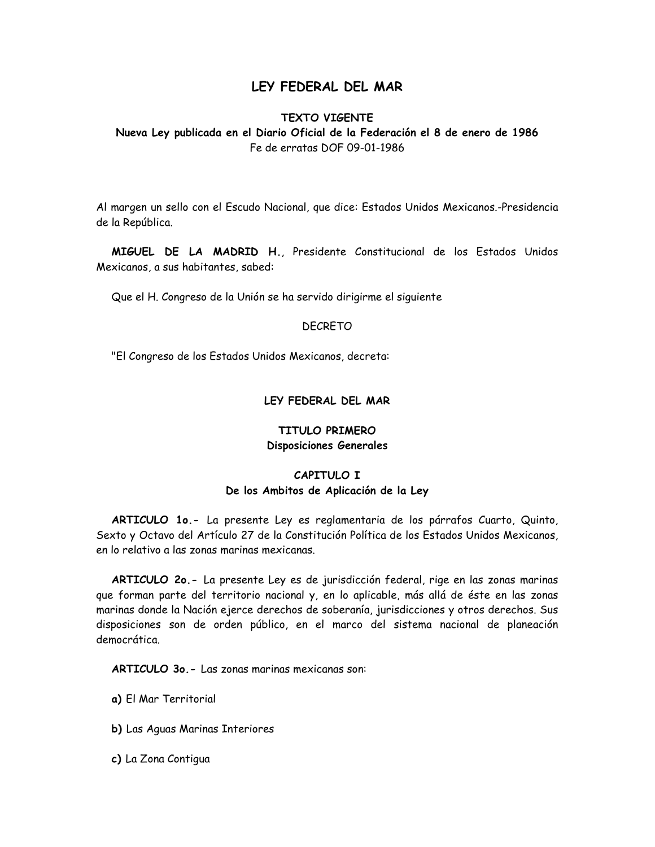# LEY FEDERAL DEL MAR

## **TEXTO VIGENTE**

Nueva Ley publicada en el Diario Oficial de la Federación el 8 de enero de 1986 Fe de erratas DOF 09-01-1986

Al margen un sello con el Escudo Nacional, que dice: Estados Unidos Mexicanos.-Presidencia de la República.

MIGUEL DE LA MADRID H., Presidente Constitucional de los Estados Unidos Mexicanos, a sus habitantes, sabed:

Que el H. Congreso de la Unión se ha servido dirigirme el siguiente

#### **DECRETO**

"El Congreso de los Estados Unidos Mexicanos, decreta:

### LEY FEDERAL DEL MAR

## TITULO PRIMERO Disposiciones Generales

## CAPITULO I De los Ambitos de Aplicación de la Ley

ARTICULO 10.- La presente Ley es reglamentaria de los párrafos Cuarto, Quinto, Sexto y Octavo del Artículo 27 de la Constitución Política de los Estados Unidos Mexicanos, en lo relativo a las zonas marinas mexicanas.

ARTICULO 20.- La presente Ley es de jurisdicción federal, rige en las zonas marinas que forman parte del territorio nacional y, en lo aplicable, más allá de éste en las zonas marinas donde la Nación ejerce derechos de soberanía, jurisdicciones y otros derechos. Sus disposiciones son de orden público, en el marco del sistema nacional de planeación democrática

**ARTICULO 30. - Las zonas marinas mexicanas son:** 

a) El Mar Territorial

b) Las Aguas Marinas Interiores

c) La Zona Contigua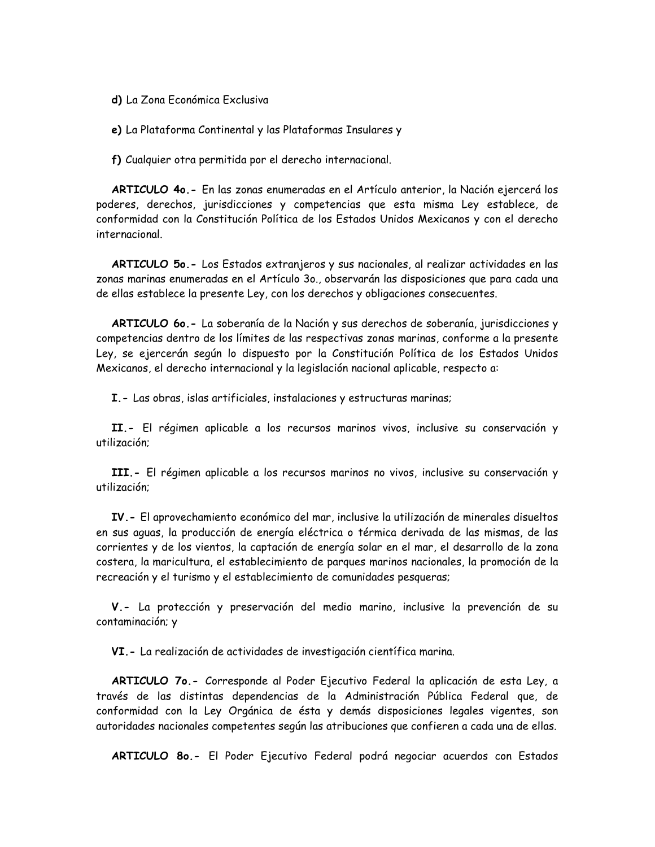d) La Zona Económica Exclusiva

e) La Plataforma Continental y las Plataformas Insulares y

f) Cualquier otra permitida por el derecho internacional.

ARTICULO 40.- En las zonas enumeradas en el Artículo anterior, la Nación ejercerá los poderes, derechos, jurisdicciones y competencias que esta misma Ley establece, de conformidad con la Constitución Política de los Estados Unidos Mexicanos y con el derecho internacional

ARTICULO 50.- Los Estados extranjeros y sus nacionales, al realizar actividades en las zonas marinas enumeradas en el Artículo 30., observarán las disposiciones que para cada una de ellas establece la presente Ley, con los derechos y obligaciones consecuentes.

ARTICULO 60.- La soberanía de la Nación y sus derechos de soberanía, jurisdicciones y competencias dentro de los límites de las respectivas zonas marinas, conforme a la presente Ley, se ejercerán según lo dispuesto por la Constitución Política de los Estados Unidos Mexicanos, el derecho internacional y la legislación nacional aplicable, respecto a:

I. - Las obras, islas artificiales, instalaciones y estructuras marinas;

II.- El régimen aplicable a los recursos marinos vivos, inclusive su conservación y utilización;

III.- El régimen aplicable a los recursos marinos no vivos, inclusive su conservación y utilización:

IV.- El aprovechamiento económico del mar, inclusive la utilización de minerales disueltos en sus aguas, la producción de energía eléctrica o térmica derivada de las mismas, de las corrientes y de los vientos, la captación de energía solar en el mar, el desarrollo de la zona costera, la maricultura, el establecimiento de parques marinos nacionales, la promoción de la recreación y el turismo y el establecimiento de comunidades pesqueras;

V.- La protección y preservación del medio marino, inclusive la prevención de su contaminación; y

VI.- La realización de actividades de investigación científica marina.

ARTICULO 70.- Corresponde al Poder Ejecutivo Federal la aplicación de esta Ley, a través de las distintas dependencias de la Administración Pública Federal que, de conformidad con la Ley Orgánica de ésta y demás disposiciones legales vigentes, son autoridades nacionales competentes según las atribuciones que confieren a cada una de ellas.

ARTICULO 80.- El Poder Ejecutivo Federal podrá negociar acuerdos con Estados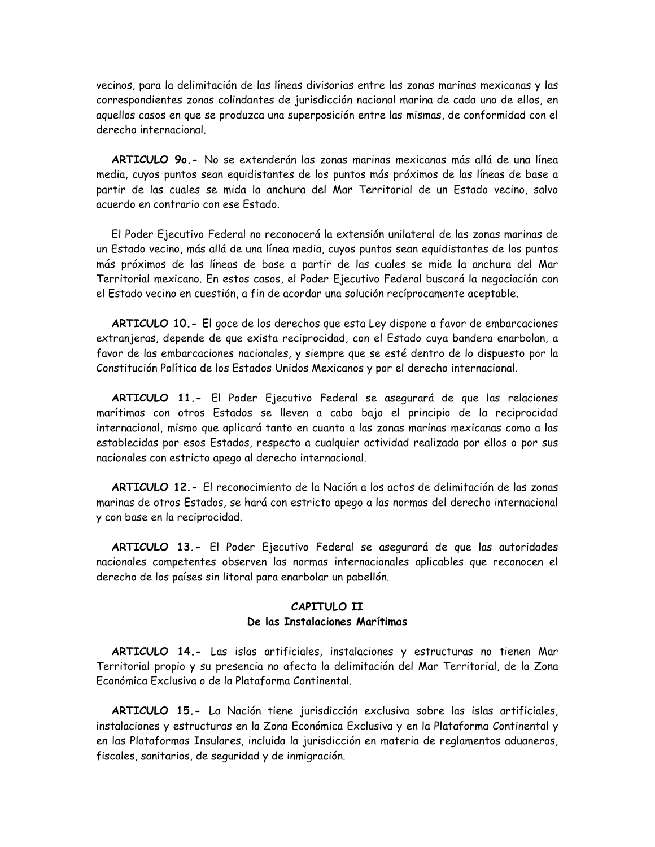vecinos, para la delimitación de las líneas divisorias entre las zonas marinas mexicanas y las correspondientes zonas colindantes de jurisdicción nacional marina de cada uno de ellos, en aquellos casos en que se produzca una superposición entre las mismas, de conformidad con el derecho internacional.

ARTICULO 90.- No se extenderán las zonas marinas mexicanas más allá de una línea media, cuyos puntos sean equidistantes de los puntos más próximos de las líneas de base a partir de las cuales se mida la anchura del Mar Territorial de un Estado vecino, salvo acuerdo en contrario con ese Estado

El Poder Ejecutivo Federal no reconocerá la extensión unilateral de las zonas marinas de un Estado vecino, más allá de una línea media, cuyos puntos sean equidistantes de los puntos más próximos de las líneas de base a partir de las cuales se mide la anchura del Mar Territorial mexicano. En estos casos, el Poder Ejecutivo Federal buscará la negociación con el Estado vecino en cuestión, a fin de acordar una solución recíprocamente aceptable.

ARTICULO 10. - El goce de los derechos que esta Ley dispone a favor de embarcaciones extranjeras, depende de que exista reciprocidad, con el Estado cuya bandera enarbolan, a favor de las embarcaciones nacionales, y siempre que se esté dentro de lo dispuesto por la Constitución Política de los Estados Unidos Mexicanos y por el derecho internacional.

ARTICULO 11.- El Poder Ejecutivo Federal se asegurará de que las relaciones marítimas con otros Estados se lleven a cabo bajo el principio de la reciprocidad internacional, mismo que aplicará tanto en cuanto a las zonas marinas mexicanas como a las establecidas por esos Estados, respecto a cualquier actividad realizada por ellos o por sus nacionales con estricto apego al derecho internacional.

ARTICULO 12.- El reconocimiento de la Nación a los actos de delimitación de las zonas marinas de otros Estados, se hará con estricto apego a las normas del derecho internacional y con base en la reciprocidad.

ARTICULO 13.- El Poder Ejecutivo Federal se asegurará de que las autoridades nacionales competentes observen las normas internacionales aplicables que reconocen el derecho de los países sin litoral para enarbolar un pabellón.

## CAPITULO II De las Instalaciones Marítimas

ARTICULO 14.- Las islas artificiales, instalaciones y estructuras no tienen Mar Territorial propio y su presencia no afecta la delimitación del Mar Territorial, de la Zona Económica Exclusiva o de la Plataforma Continental.

ARTICULO 15.- La Nación tiene jurisdicción exclusiva sobre las islas artificiales, instalaciones y estructuras en la Zona Económica Exclusiva y en la Plataforma Continental y en las Plataformas Insulares, incluida la jurisdicción en materia de reglamentos aduaneros, fiscales, sanitarios, de seguridad y de inmigración.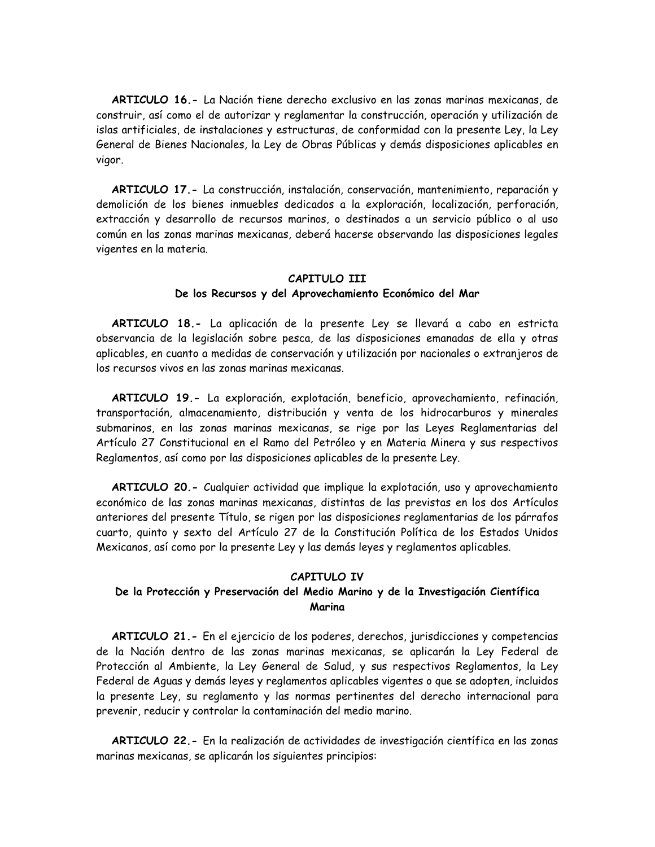ARTICULO 16.- La Nación tiene derecho exclusivo en las zonas marinas mexicanas, de construir, así como el de autorizar y reglamentar la construcción, operación y utilización de islas artificiales, de instalaciones y estructuras, de conformidad con la presente Ley, la Ley General de Bienes Nacionales, la Ley de Obras Públicas y demás disposiciones aplicables en vigor.

ARTICULO 17.- La construcción, instalación, conservación, mantenimiento, reparación y demolición de los bienes inmuebles dedicados a la exploración, localización, perforación, extracción y desarrollo de recursos marinos, o destinados a un servicio público o al uso común en las zonas marinas mexicanas, deberá hacerse observando las disposiciones legales vigentes en la materia.

#### CAPITULO III

#### De los Recursos y del Aprovechamiento Económico del Mar

ARTICULO 18.- La aplicación de la presente Ley se llevará a cabo en estricta observancia de la legislación sobre pesca, de las disposiciones emanadas de ella y otras aplicables, en cuanto a medidas de conservación y utilización por nacionales o extranjeros de los recursos vivos en las zonas marinas mexicanas.

ARTICULO 19.- La exploración, explotación, beneficio, aprovechamiento, refinación, transportación, almacenamiento, distribución y venta de los hidrocarburos y minerales submarinos, en las zonas marinas mexicanas, se rige por las Leyes Reglamentarias del Artículo 27 Constitucional en el Ramo del Petróleo y en Materia Minera y sus respectivos Reglamentos, así como por las disposiciones aplicables de la presente Ley.

ARTICULO 20.- Cualquier actividad que implique la explotación, uso y aprovechamiento económico de las zonas marinas mexicanas, distintas de las previstas en los dos Artículos anteriores del presente Título, se rigen por las disposiciones reglamentarias de los párrafos cuarto, quinto y sexto del Artículo 27 de la Constitución Política de los Estados Unidos Mexicanos, así como por la presente Ley y las demás leyes y reglamentos aplicables.

## CAPITULO IV

## De la Protección y Preservación del Medio Marino y de la Investigación Científica Marina

ARTICULO 21.- En el ejercicio de los poderes, derechos, jurisdicciones y competencias de la Nación dentro de las zonas marinas mexicanas, se aplicarán la Ley Federal de Protección al Ambiente, la Ley General de Salud, y sus respectivos Reglamentos, la Ley Federal de Aguas y demás leyes y reglamentos aplicables vigentes o que se adopten, incluidos la presente Ley, su reglamento y las normas pertinentes del derecho internacional para prevenir, reducir y controlar la contaminación del medio marino.

ARTICULO 22.- En la realización de actividades de investigación científica en las zonas marinas mexicanas, se aplicarán los siguientes principios: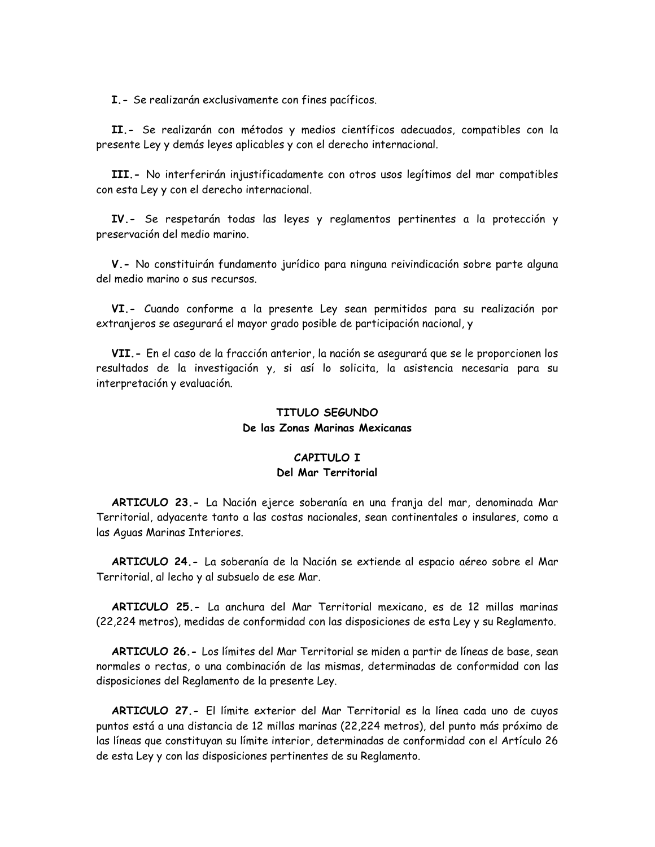I.- Se realizarán exclusivamente con fines pacíficos.

II.- Se realizarán con métodos y medios científicos adecuados, compatibles con la presente Ley y demás leyes aplicables y con el derecho internacional.

III.- No interferirán injustificadamente con otros usos legítimos del mar compatibles con esta Ley y con el derecho internacional.

IV.- Se respetarán todas las leyes y reglamentos pertinentes a la protección y preservación del medio marino.

V.- No constituirán fundamento jurídico para ninguna reivindicación sobre parte alguna del medio marino o sus recursos.

VI.- Cuando conforme a la presente Ley sean permitidos para su realización por extranjeros se asegurará el mayor grado posible de participación nacional, y

VII.- En el caso de la fracción anterior, la nación se asegurará que se le proporcionen los resultados de la investigación y, si así lo solicita, la asistencia necesaria para su interpretación y evaluación.

# TITULO SEGUNDO De las Zonas Marinas Mexicanas

### CAPITULO I Del Mar Territorial

ARTICULO 23.- La Nación ejerce soberanía en una franja del mar, denominada Mar Territorial, adyacente tanto a las costas nacionales, sean continentales o insulares, como a las Aguas Marinas Interiores.

ARTICULO 24.- La soberanía de la Nación se extiende al espacio aéreo sobre el Mar Territorial, al lecho y al subsuelo de ese Mar.

ARTICULO 25.- La anchura del Mar Territorial mexicano, es de 12 millas marinas (22,224 metros), medidas de conformidad con las disposiciones de esta Ley y su Reglamento.

ARTICULO 26. - Los límites del Mar Territorial se miden a partir de líneas de base, sean normales o rectas, o una combinación de las mismas, determinadas de conformidad con las disposiciones del Reglamento de la presente Ley.

ARTICULO 27.- El límite exterior del Mar Territorial es la línea cada uno de cuyos puntos está a una distancia de 12 millas marinas (22,224 metros), del punto más próximo de las líneas que constituyan su límite interior, determinadas de conformidad con el Artículo 26 de esta Ley y con las disposiciones pertinentes de su Reglamento.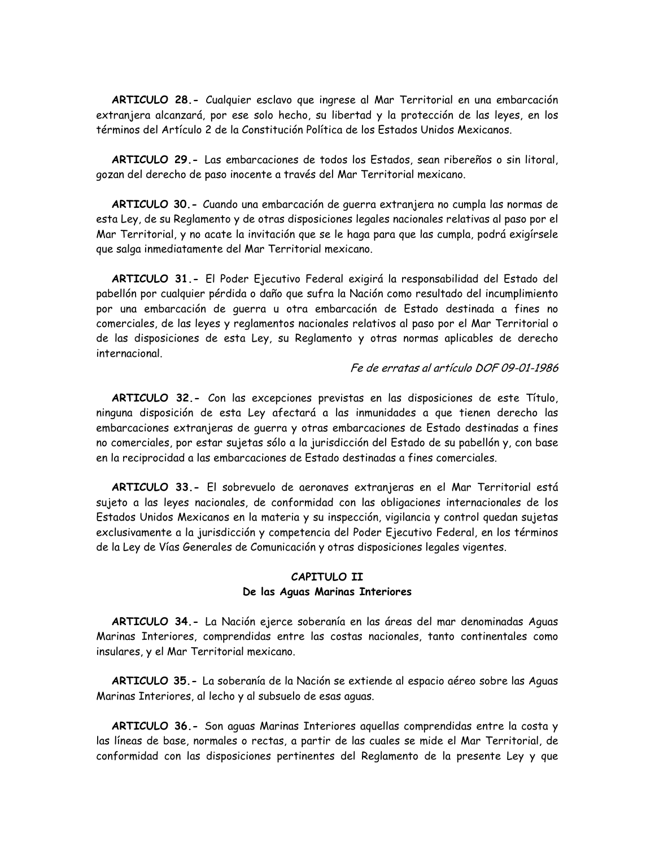ARTICULO 28.- Cualquier esclavo que ingrese al Mar Territorial en una embarcación extranjera alcanzará, por ese solo hecho, su libertad y la protección de las leyes, en los términos del Artículo 2 de la Constitución Política de los Estados Unidos Mexicanos.

ARTICULO 29.- Las embarcaciones de todos los Estados, sean ribereños o sin litoral, gozan del derecho de paso inocente a través del Mar Territorial mexicano.

ARTICULO 30. - Cuando una embarcación de querra extranjera no cumpla las normas de esta Ley, de su Reglamento y de otras disposiciones legales nacionales relativas al paso por el Mar Territorial, y no acate la invitación que se le haga para que las cumpla, podrá exigírsele que salga inmediatamente del Mar Territorial mexicano.

ARTICULO 31.- El Poder Ejecutivo Federal exigirá la responsabilidad del Estado del pabellón por cualquier pérdida o daño que sufra la Nación como resultado del incumplimiento por una embarcación de guerra u otra embarcación de Estado destinada a fines no comerciales, de las leyes y reglamentos nacionales relativos al paso por el Mar Territorial o de las disposiciones de esta Ley, su Reglamento y otras normas aplicables de derecho internacional.

# Fe de erratas al artículo DOF 09-01-1986

ARTICULO 32.- Con las excepciones previstas en las disposiciones de este Título, ninguna disposición de esta Ley afectará a las inmunidades a que tienen derecho las embarcaciones extranjeras de guerra y otras embarcaciones de Estado destinadas a fines no comerciales, por estar sujetas sólo a la jurisdicción del Estado de su pabellón y, con base en la reciprocidad a las embarcaciones de Estado destinadas a fines comerciales.

ARTICULO 33.- El sobrevuelo de aeronaves extranjeras en el Mar Territorial está sujeto a las leyes nacionales, de conformidad con las obligaciones internacionales de los Estados Unidos Mexicanos en la materia y su inspección, vigilancia y control quedan sujetas exclusivamente a la jurisdicción y competencia del Poder Ejecutivo Federal, en los términos de la Ley de Vías Generales de Comunicación y otras disposiciones legales vigentes.

## CAPITULO II De las Aguas Marinas Interiores

ARTICULO 34.- La Nación ejerce soberanía en las áreas del mar denominadas Aguas Marinas Interiores, comprendidas entre las costas nacionales, tanto continentales como insulares, y el Mar Territorial mexicano.

ARTICULO 35.- La soberanía de la Nación se extiende al espacio aéreo sobre las Aguas Marinas Interiores, al lecho y al subsuelo de esas aguas.

ARTICULO 36.- Son aguas Marinas Interiores aquellas comprendidas entre la costa y las líneas de base, normales o rectas, a partir de las cuales se mide el Mar Territorial, de conformidad con las disposiciones pertinentes del Reglamento de la presente Ley y que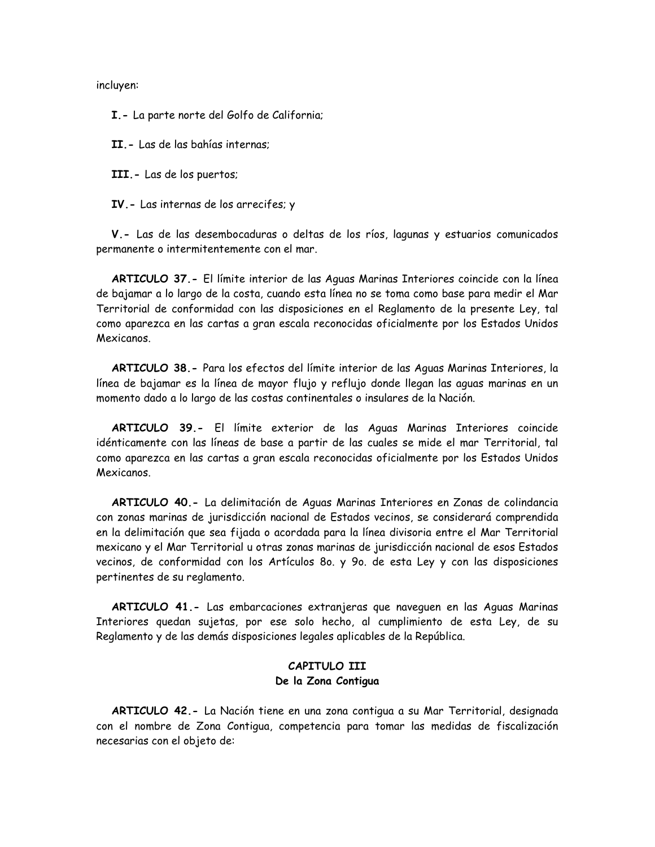incluyen:

I.- La parte norte del Golfo de California;

II - Las de las bahías internas:

III. - Las de los puertos;

IV. - Las internas de los arrecifes; y

V.- Las de las desembocaduras o deltas de los ríos, lagunas y estuarios comunicados permanente o intermitentemente con el mar.

ARTICULO 37.- El límite interior de las Aguas Marinas Interiores coincide con la línea de bajamar a lo largo de la costa, cuando esta línea no se toma como base para medir el Mar Territorial de conformidad con las disposiciones en el Reglamento de la presente Ley, tal como aparezca en las cartas a gran escala reconocidas oficialmente por los Estados Unidos Mexicanos.

ARTICULO 38.- Para los efectos del límite interior de las Aguas Marinas Interiores, la línea de bajamar es la línea de mayor flujo y reflujo donde llegan las aguas marinas en un momento dado a lo largo de las costas continentales o insulares de la Nación.

ARTICULO 39.- El límite exterior de las Aguas Marinas Interiores coincide idénticamente con las líneas de base a partir de las cuales se mide el mar Territorial, tal como aparezca en las cartas a gran escala reconocidas oficialmente por los Estados Unidos Mexicanos.

ARTICULO 40.- La delimitación de Aguas Marinas Interiores en Zonas de colindancia con zonas marinas de jurisdicción nacional de Estados vecinos, se considerará comprendida en la delimitación que sea fijada o acordada para la línea divisoria entre el Mar Territorial mexicano y el Mar Territorial u otras zonas marinas de jurisdicción nacional de esos Estados vecinos, de conformidad con los Artículos 80. y 90. de esta Ley y con las disposiciones pertinentes de su reglamento.

ARTICULO 41.- Las embarcaciones extranjeras que naveguen en las Aguas Marinas Interiores quedan sujetas, por ese solo hecho, al cumplimiento de esta Ley, de su Reglamento y de las demás disposiciones legales aplicables de la República.

# CAPITULO III De la Zona Contigua

ARTICULO 42.- La Nación tiene en una zona contigua a su Mar Territorial, designada con el nombre de Zona Contigua, competencia para tomar las medidas de fiscalización necesarias con el objeto de: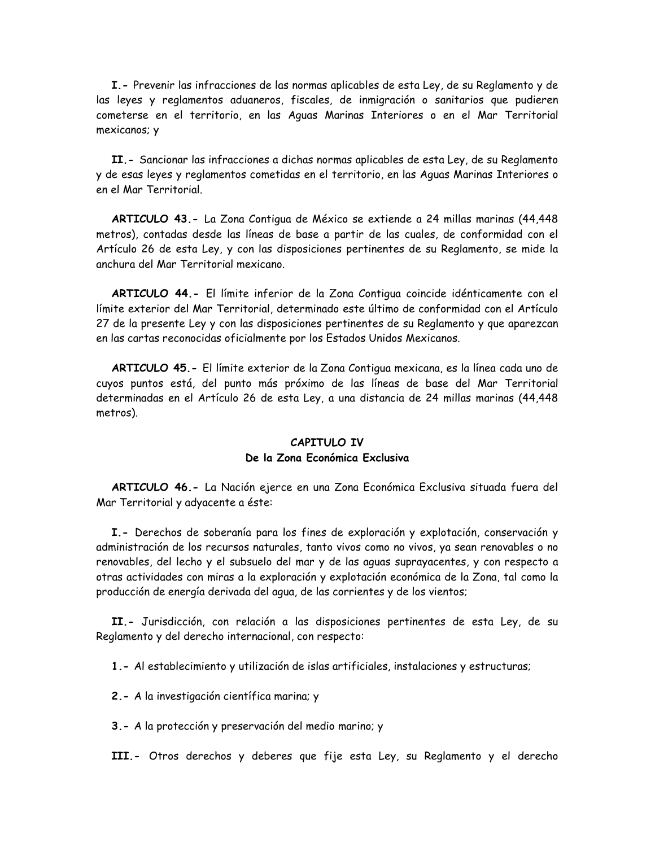I.- Prevenir las infracciones de las normas aplicables de esta Ley, de su Reglamento y de las leyes y reglamentos aduaneros, fiscales, de inmigración o sanitarios que pudieren cometerse en el territorio, en las Aguas Marinas Interiores o en el Mar Territorial mexicanos; y

II. - Sancionar las infracciones a dichas normas aplicables de esta Ley, de su Reglamento y de esas leyes y reglamentos cometidas en el territorio, en las Aguas Marinas Interiores o en el Mar Territorial.

ARTICULO 43.- La Zona Contigua de México se extiende a 24 millas marinas (44,448) metros), contadas desde las líneas de base a partir de las cuales, de conformidad con el Artículo 26 de esta Ley, y con las disposiciones pertinentes de su Reglamento, se mide la anchura del Mar Territorial mexicano.

ARTICULO 44.- El límite inferior de la Zona Contigua coincide idénticamente con el límite exterior del Mar Territorial, determinado este último de conformidad con el Artículo 27 de la presente Ley y con las disposiciones pertinentes de su Reglamento y que aparezcan en las cartas reconocidas oficialmente por los Estados Unidos Mexicanos.

ARTICULO 45.- El límite exterior de la Zona Contigua mexicana, es la línea cada uno de cuyos puntos está, del punto más próximo de las líneas de base del Mar Territorial determinadas en el Artículo 26 de esta Ley, a una distancia de 24 millas marinas (44,448 metros).

## CAPITULO IV De la Zona Económica Exclusiva

ARTICULO 46.- La Nación ejerce en una Zona Económica Exclusiva situada fuera del Mar Territorial y adyacente a éste:

I.- Derechos de soberanía para los fines de exploración y explotación, conservación y administración de los recursos naturales, tanto vivos como no vivos, ya sean renovables o no renovables, del lecho y el subsuelo del mar y de las aquas suprayacentes, y con respecto a otras actividades con miras a la exploración y explotación económica de la Zona, tal como la producción de energía derivada del agua, de las corrientes y de los vientos;

II.- Jurisdicción, con relación a las disposiciones pertinentes de esta Ley, de su Reglamento y del derecho internacional, con respecto:

1.- Al establecimiento y utilización de islas artificiales, instalaciones y estructuras;

2.- A la investigación científica marina; y

3.- A la protección y preservación del medio marino; y

III.- Otros derechos y deberes que fije esta Ley, su Reglamento y el derecho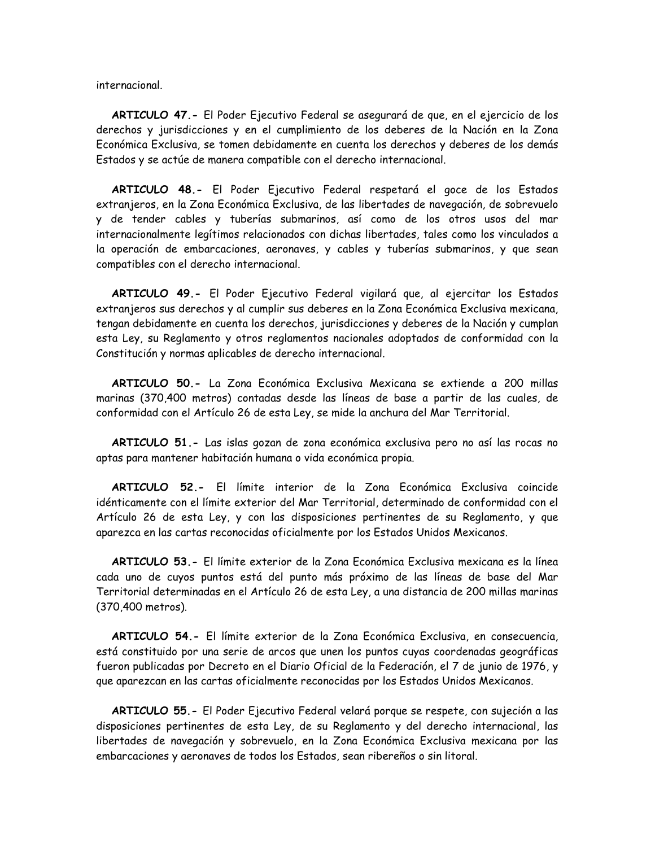internacional.

ARTICULO 47.- El Poder Ejecutivo Federal se asegurará de que, en el ejercicio de los derechos y jurisdicciones y en el cumplimiento de los deberes de la Nación en la Zona Económica Exclusiva, se tomen debidamente en cuenta los derechos y deberes de los demás Estados y se actúe de manera compatible con el derecho internacional.

ARTICULO 48.- El Poder Ejecutivo Federal respetará el goce de los Estados extranjeros, en la Zona Económica Exclusiva, de las libertades de navegación, de sobrevuelo y de tender cables y tuberías submarinos, así como de los otros usos del mar internacionalmente legítimos relacionados con dichas libertades, tales como los vinculados a la operación de embarcaciones, aeronaves, y cables y tuberías submarinos, y que sean compatibles con el derecho internacional.

ARTICULO 49.- El Poder Ejecutivo Federal vigilará que, al ejercitar los Estados extranjeros sus derechos y al cumplir sus deberes en la Zona Económica Exclusiva mexicana, tengan debidamente en cuenta los derechos, jurisdicciones y deberes de la Nación y cumplan esta Ley, su Reglamento y otros reglamentos nacionales adoptados de conformidad con la Constitución y normas aplicables de derecho internacional.

ARTICULO 50.- La Zona Económica Exclusiva Mexicana se extiende a 200 millas marinas (370,400 metros) contadas desde las líneas de base a partir de las cuales, de conformidad con el Artículo 26 de esta Ley, se mide la anchura del Mar Territorial.

ARTICULO 51.- Las islas gozan de zona económica exclusiva pero no así las rocas no aptas para mantener habitación humana o vida económica propia.

ARTICULO 52.- El límite interior de la Zona Económica Exclusiva coincide idénticamente con el límite exterior del Mar Territorial, determinado de conformidad con el Artículo 26 de esta Ley, y con las disposiciones pertinentes de su Reglamento, y que aparezca en las cartas reconocidas oficialmente por los Estados Unidos Mexicanos.

**ARTICULO 53.-** El límite exterior de la Zona Económica Exclusiva mexicana es la línea cada uno de cuyos puntos está del punto más próximo de las líneas de base del Mar Territorial determinadas en el Artículo 26 de esta Ley, a una distancia de 200 millas marinas (370,400 metros).

ARTICULO 54.- El límite exterior de la Zona Económica Exclusiva, en consecuencia, está constituido por una serie de arcos que unen los puntos cuyas coordenadas geográficas fueron publicadas por Decreto en el Diario Oficial de la Federación, el 7 de junio de 1976, y que aparezcan en las cartas oficialmente reconocidas por los Estados Unidos Mexicanos.

ARTICULO 55.- El Poder Ejecutivo Federal velará porque se respete, con sujeción a las disposiciones pertinentes de esta Ley, de su Reglamento y del derecho internacional, las libertades de navegación y sobrevuelo, en la Zona Económica Exclusiva mexicana por las embarcaciones y aeronaves de todos los Estados, sean ribereños o sin litoral.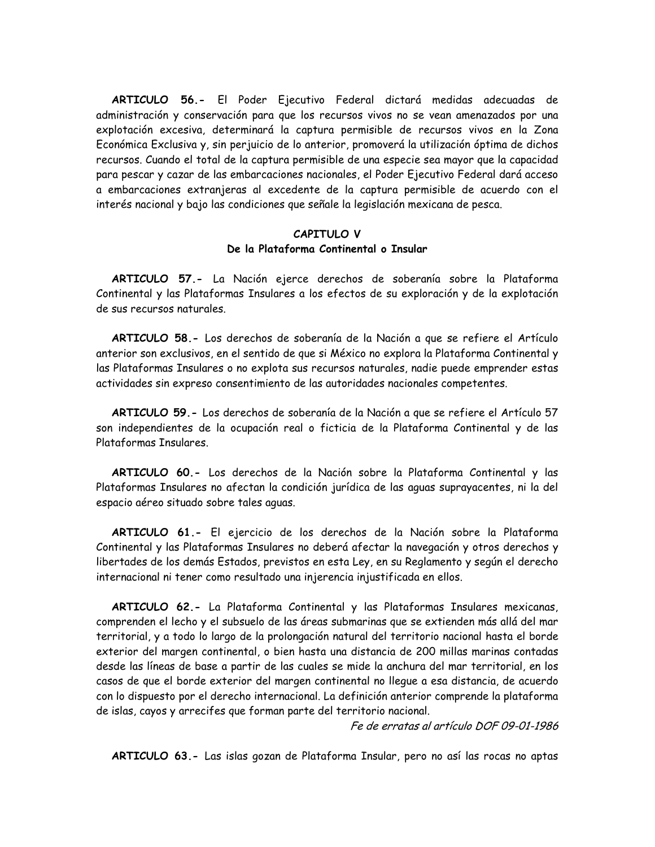ARTICULO 56.- El Poder Ejecutivo Federal dictará medidas adecuadas de administración y conservación para que los recursos vivos no se vean amenazados por una explotación excesiva, determinará la captura permisible de recursos vivos en la Zona Económica Exclusiva y, sin per juicio de lo anterior, promoverá la utilización óptima de dichos recursos. Cuando el total de la captura permisible de una especie sea mayor que la capacidad para pescar y cazar de las embarcaciones nacionales, el Poder Ejecutivo Federal dará acceso a embarcaciones extranjeras al excedente de la captura permisible de acuerdo con el interés nacional y bajo las condiciones que señale la legislación mexicana de pesca.

## CAPITULO V De la Plataforma Continental o Insular

ARTICULO 57.- La Nación ejerce derechos de soberanía sobre la Plataforma Continental y las Plataformas Insulares a los efectos de su exploración y de la explotación de sus recursos naturales

ARTICULO 58.- Los derechos de soberanía de la Nación a que se refiere el Artículo anterior son exclusivos, en el sentido de que si México no explora la Plataforma Continental y las Plataformas Insulares o no explota sus recursos naturales, nadie puede emprender estas actividades sin expreso consentimiento de las autoridades nacionales competentes.

ARTICULO 59.- Los derechos de soberanía de la Nación a que se refiere el Artículo 57 son independientes de la ocupación real o ficticia de la Plataforma Continental y de las Plataformas Insulares.

ARTICULO 60.- Los derechos de la Nación sobre la Plataforma Continental y las Plataformas Insulares no afectan la condición jurídica de las aguas suprayacentes, ni la del espacio aéreo situado sobre tales aguas.

ARTICULO 61.- El ejercicio de los derechos de la Nación sobre la Plataforma Continental y las Plataformas Insulares no deberá afectar la navegación y otros derechos y libertades de los demás Estados, previstos en esta Ley, en su Reglamento y según el derecho internacional ni tener como resultado una injerencia injustificada en ellos.

ARTICULO 62.- La Plataforma Continental y las Plataformas Insulares mexicanas, comprenden el lecho y el subsuelo de las áreas submarinas que se extienden más allá del mar territorial, y a todo lo largo de la prolongación natural del territorio nacional hasta el borde exterior del margen continental, o bien hasta una distancia de 200 millas marinas contadas desde las líneas de base a partir de las cuales se mide la anchura del mar territorial, en los casos de que el borde exterior del margen continental no llegue a esa distancia, de acuerdo con lo dispuesto por el derecho internacional. La definición anterior comprende la plataforma de islas, cayos y arrecifes que forman parte del territorio nacional.

Fe de erratas al artículo DOF 09-01-1986

ARTICULO 63.- Las islas gozan de Plataforma Insular, pero no así las rocas no aptas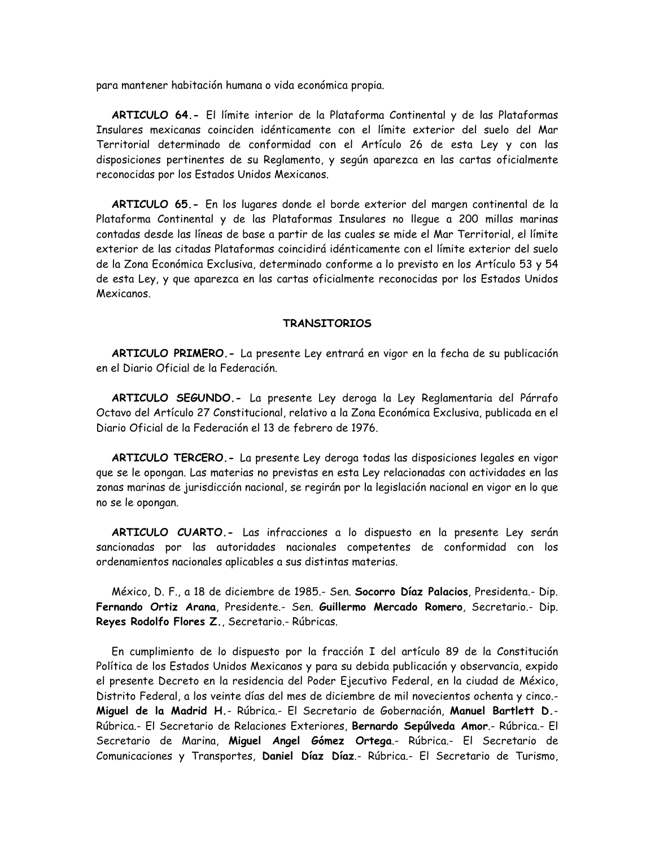para mantener habitación humana o vida económica propia.

ARTICULO 64.- El límite interior de la Plataforma Continental y de las Plataformas Insulares mexicanas coinciden idénticamente con el límite exterior del suelo del Mar Territorial determinado de conformidad con el Artículo 26 de esta Ley y con las disposiciones pertinentes de su Reglamento, y según aparezca en las cartas oficialmente reconocidas por los Estados Unidos Mexicanos.

ARTICULO 65.- En los lugares donde el borde exterior del margen continental de la Plataforma Continental y de las Plataformas Insulares no llegue a 200 millas marinas contadas desde las líneas de base a partir de las cuales se mide el Mar Territorial, el límite exterior de las citadas Plataformas coincidirá idénticamente con el límite exterior del suelo de la Zona Económica Exclusiva, determinado conforme a lo previsto en los Artículo 53 y 54 de esta Ley, y que aparezca en las cartas oficialmente reconocidas por los Estados Unidos Mexicanos.

### **TRANSITORIOS**

ARTICULO PRIMERO.- La presente Ley entrará en vigor en la fecha de su publicación en el Diario Oficial de la Federación.

ARTICULO SEGUNDO.- La presente Ley deroga la Ley Reglamentaria del Párrafo Octavo del Artículo 27 Constitucional, relativo a la Zona Económica Exclusiva, publicada en el Diario Oficial de la Federación el 13 de febrero de 1976.

ARTICULO TERCERO.- La presente Ley deroga todas las disposiciones legales en vigor que se le opongan. Las materias no previstas en esta Ley relacionadas con actividades en las zonas marinas de jurisdicción nacional, se regirán por la legislación nacional en vigor en lo que no se le opongan.

ARTICULO CUARTO.- Las infracciones a lo dispuesto en la presente Ley serán sancionadas por las autoridades nacionales competentes de conformidad con los ordenamientos nacionales aplicables a sus distintas materias.

México, D. F., a 18 de diciembre de 1985.- Sen. Socorro Díaz Palacios, Presidenta.- Dip. Fernando Ortiz Arana, Presidente.- Sen. Guillermo Mercado Romero, Secretario.- Dip. Reyes Rodolfo Flores Z., Secretario.- Rúbricas.

En cumplimiento de lo dispuesto por la fracción I del artículo 89 de la Constitución Política de los Estados Unidos Mexicanos y para su debida publicación y observancia, expido el presente Decreto en la residencia del Poder Ejecutivo Federal, en la ciudad de México, Distrito Federal, a los veinte días del mes de diciembre de mil novecientos ochenta y cinco.-Miguel de la Madrid H.- Rúbrica.- El Secretario de Gobernación, Manuel Bartlett D.-Rúbrica.- El Secretario de Relaciones Exteriores, Bernardo Sepúlveda Amor.- Rúbrica.- El Secretario de Marina, Miquel Angel Gómez Ortega.- Rúbrica.- El Secretario de Comunicaciones y Transportes, Daniel Díaz Díaz.- Rúbrica.- El Secretario de Turismo,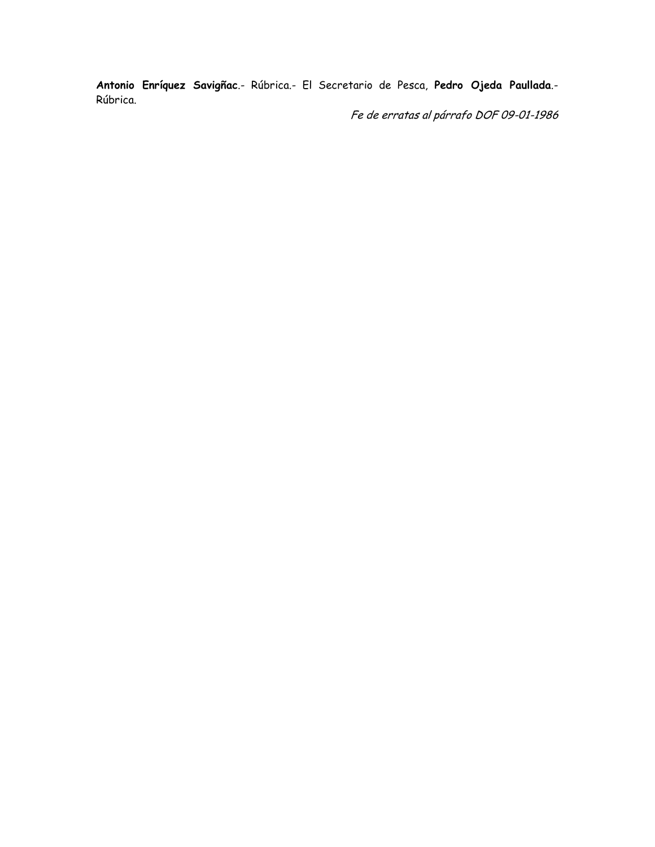Antonio Enríquez Savigñac.- Rúbrica.- El Secretario de Pesca, Pedro Ojeda Paullada.-Rúbrica.

Fe de erratas al párrafo DOF 09-01-1986